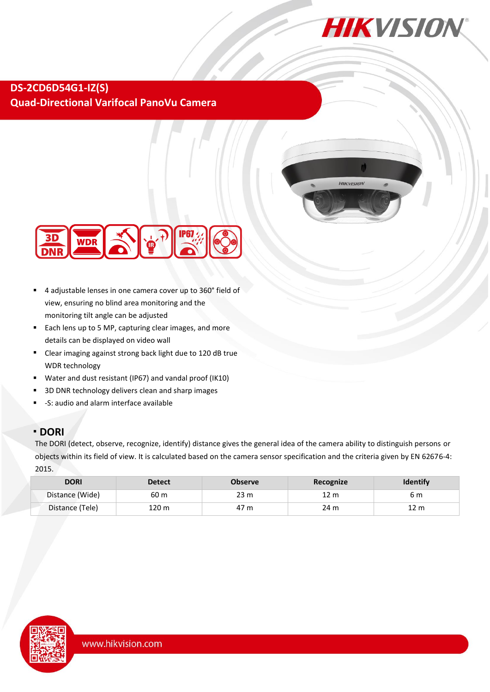

### **DS-2CD6D54G1-IZ(S) Quad-Directional Varifocal PanoVu Camera**





- <sup>◼</sup> 4 adjustable lenses in one camera cover up to 360° field of view, ensuring no blind area monitoring and the monitoring tilt angle can be adjusted
- Each lens up to 5 MP, capturing clear images, and more details can be displayed on video wall
- Clear imaging against strong back light due to 120 dB true WDR technology
- Water and dust resistant (IP67) and vandal proof (IK10)
- 3D DNR technology delivers clean and sharp images
- -S: audio and alarm interface available

#### <sup>◼</sup> **DORI**

The DORI (detect, observe, recognize, identify) distance gives the general idea of the camera ability to distinguish persons or objects within its field of view. It is calculated based on the camera sensor specification and the criteria given by EN 62676-4: 2015.

| <b>DORI</b>     | <b>Detect</b> | <b>Observe</b> | Recognize | <b>Identify</b> |
|-----------------|---------------|----------------|-----------|-----------------|
| Distance (Wide) | 60 m          | 23 m           | 12 m      | 6 m             |
| Distance (Tele) | 120 m         | 47 m           | 24 m      | 12<br>m         |

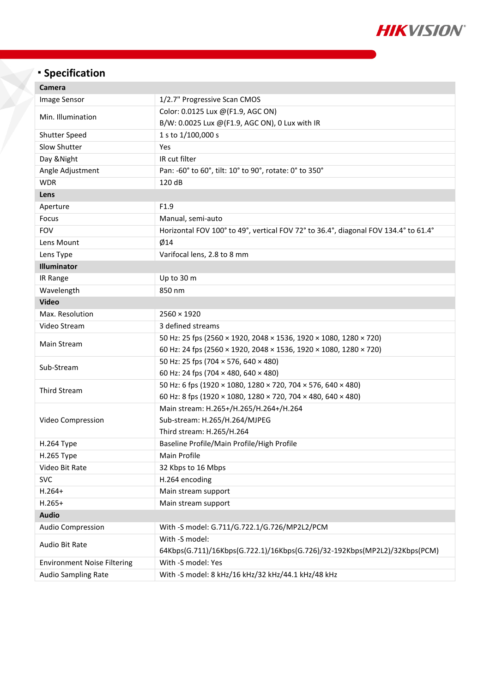

# <sup>◼</sup> **Specification**

| Camera                             |                                                                                     |  |  |
|------------------------------------|-------------------------------------------------------------------------------------|--|--|
| Image Sensor                       | 1/2.7" Progressive Scan CMOS                                                        |  |  |
| Min. Illumination                  | Color: 0.0125 Lux @(F1.9, AGC ON)                                                   |  |  |
|                                    | B/W: 0.0025 Lux @(F1.9, AGC ON), 0 Lux with IR                                      |  |  |
| Shutter Speed                      | 1 s to 1/100,000 s                                                                  |  |  |
| Slow Shutter                       | Yes                                                                                 |  |  |
| Day & Night                        | IR cut filter                                                                       |  |  |
| Angle Adjustment                   | Pan: -60° to 60°, tilt: 10° to 90°, rotate: 0° to 350°                              |  |  |
| <b>WDR</b>                         | 120 dB                                                                              |  |  |
| Lens                               |                                                                                     |  |  |
| Aperture                           | F1.9                                                                                |  |  |
| Focus                              | Manual, semi-auto                                                                   |  |  |
| <b>FOV</b>                         | Horizontal FOV 100° to 49°, vertical FOV 72° to 36.4°, diagonal FOV 134.4° to 61.4° |  |  |
| Lens Mount                         | $\emptyset$ 14                                                                      |  |  |
| Lens Type                          | Varifocal lens, 2.8 to 8 mm                                                         |  |  |
| Illuminator                        |                                                                                     |  |  |
| IR Range                           | Up to 30 m                                                                          |  |  |
| Wavelength                         | 850 nm                                                                              |  |  |
| <b>Video</b>                       |                                                                                     |  |  |
| Max. Resolution                    | $2560 \times 1920$                                                                  |  |  |
| Video Stream                       | 3 defined streams                                                                   |  |  |
| Main Stream                        | 50 Hz: 25 fps (2560 × 1920, 2048 × 1536, 1920 × 1080, 1280 × 720)                   |  |  |
|                                    | 60 Hz: 24 fps (2560 × 1920, 2048 × 1536, 1920 × 1080, 1280 × 720)                   |  |  |
| Sub-Stream                         | 50 Hz: 25 fps (704 × 576, 640 × 480)                                                |  |  |
|                                    | 60 Hz: 24 fps (704 × 480, 640 × 480)                                                |  |  |
| <b>Third Stream</b>                | 50 Hz: 6 fps (1920 × 1080, 1280 × 720, 704 × 576, 640 × 480)                        |  |  |
|                                    | 60 Hz: 8 fps (1920 × 1080, 1280 × 720, 704 × 480, 640 × 480)                        |  |  |
|                                    | Main stream: H.265+/H.265/H.264+/H.264                                              |  |  |
| Video Compression                  | Sub-stream: H.265/H.264/MJPEG                                                       |  |  |
|                                    | Third stream: H.265/H.264                                                           |  |  |
| H.264 Type                         | Baseline Profile/Main Profile/High Profile                                          |  |  |
| H.265 Type                         | Main Profile                                                                        |  |  |
| Video Bit Rate                     | 32 Kbps to 16 Mbps                                                                  |  |  |
| <b>SVC</b>                         | H.264 encoding                                                                      |  |  |
| $H.264+$                           | Main stream support                                                                 |  |  |
| $H.265+$                           | Main stream support                                                                 |  |  |
| <b>Audio</b>                       |                                                                                     |  |  |
| <b>Audio Compression</b>           | With -S model: G.711/G.722.1/G.726/MP2L2/PCM                                        |  |  |
| Audio Bit Rate                     | With -S model:                                                                      |  |  |
|                                    | 64Kbps(G.711)/16Kbps(G.722.1)/16Kbps(G.726)/32-192Kbps(MP2L2)/32Kbps(PCM)           |  |  |
| <b>Environment Noise Filtering</b> | With -S model: Yes                                                                  |  |  |
| <b>Audio Sampling Rate</b>         | With -S model: 8 kHz/16 kHz/32 kHz/44.1 kHz/48 kHz                                  |  |  |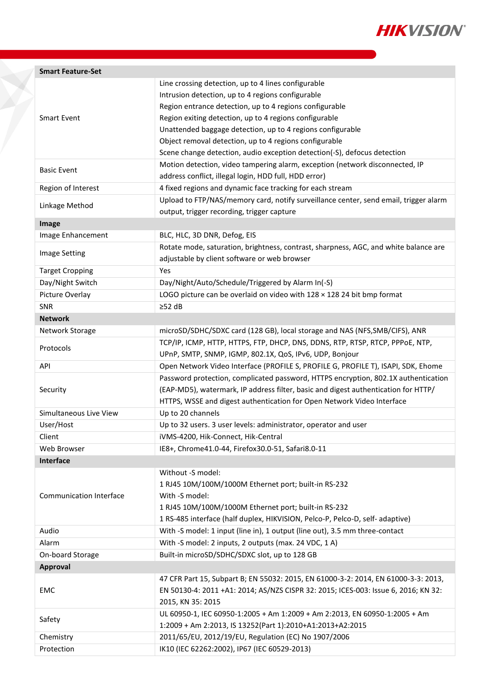

| <b>Smart Feature-Set</b>       |                                                                                      |  |  |
|--------------------------------|--------------------------------------------------------------------------------------|--|--|
|                                | Line crossing detection, up to 4 lines configurable                                  |  |  |
|                                | Intrusion detection, up to 4 regions configurable                                    |  |  |
|                                | Region entrance detection, up to 4 regions configurable                              |  |  |
| <b>Smart Event</b>             | Region exiting detection, up to 4 regions configurable                               |  |  |
|                                | Unattended baggage detection, up to 4 regions configurable                           |  |  |
|                                | Object removal detection, up to 4 regions configurable                               |  |  |
|                                | Scene change detection, audio exception detection(-S), defocus detection             |  |  |
|                                | Motion detection, video tampering alarm, exception (network disconnected, IP         |  |  |
| <b>Basic Event</b>             | address conflict, illegal login, HDD full, HDD error)                                |  |  |
| Region of Interest             | 4 fixed regions and dynamic face tracking for each stream                            |  |  |
|                                | Upload to FTP/NAS/memory card, notify surveillance center, send email, trigger alarm |  |  |
| Linkage Method                 | output, trigger recording, trigger capture                                           |  |  |
| Image                          |                                                                                      |  |  |
| Image Enhancement              | BLC, HLC, 3D DNR, Defog, EIS                                                         |  |  |
|                                | Rotate mode, saturation, brightness, contrast, sharpness, AGC, and white balance are |  |  |
| <b>Image Setting</b>           | adjustable by client software or web browser                                         |  |  |
| <b>Target Cropping</b>         | Yes                                                                                  |  |  |
| Day/Night Switch               | Day/Night/Auto/Schedule/Triggered by Alarm In(-S)                                    |  |  |
| Picture Overlay                | LOGO picture can be overlaid on video with $128 \times 128$ 24 bit bmp format        |  |  |
| <b>SNR</b>                     | $\geq$ 52 dB                                                                         |  |  |
| <b>Network</b>                 |                                                                                      |  |  |
| Network Storage                | microSD/SDHC/SDXC card (128 GB), local storage and NAS (NFS, SMB/CIFS), ANR          |  |  |
|                                | TCP/IP, ICMP, HTTP, HTTPS, FTP, DHCP, DNS, DDNS, RTP, RTSP, RTCP, PPPOE, NTP,        |  |  |
| Protocols                      | UPnP, SMTP, SNMP, IGMP, 802.1X, QoS, IPv6, UDP, Bonjour                              |  |  |
| <b>API</b>                     | Open Network Video Interface (PROFILE S, PROFILE G, PROFILE T), ISAPI, SDK, Ehome    |  |  |
|                                | Password protection, complicated password, HTTPS encryption, 802.1X authentication   |  |  |
| Security                       | (EAP-MD5), watermark, IP address filter, basic and digest authentication for HTTP/   |  |  |
|                                | HTTPS, WSSE and digest authentication for Open Network Video Interface               |  |  |
| Simultaneous Live View         | Up to 20 channels                                                                    |  |  |
| User/Host                      | Up to 32 users. 3 user levels: administrator, operator and user                      |  |  |
| Client                         | iVMS-4200, Hik-Connect, Hik-Central                                                  |  |  |
| Web Browser                    | IE8+, Chrome41.0-44, Firefox30.0-51, Safari8.0-11                                    |  |  |
| <b>Interface</b>               |                                                                                      |  |  |
|                                | Without -S model:                                                                    |  |  |
|                                | 1 RJ45 10M/100M/1000M Ethernet port; built-in RS-232                                 |  |  |
| <b>Communication Interface</b> | With -S model:                                                                       |  |  |
|                                | 1 RJ45 10M/100M/1000M Ethernet port; built-in RS-232                                 |  |  |
|                                | 1 RS-485 interface (half duplex, HIKVISION, Pelco-P, Pelco-D, self- adaptive)        |  |  |
| Audio                          | With -S model: 1 input (line in), 1 output (line out), 3.5 mm three-contact          |  |  |
| Alarm                          | With -S model: 2 inputs, 2 outputs (max. 24 VDC, 1 A)                                |  |  |
| On-board Storage               | Built-in microSD/SDHC/SDXC slot, up to 128 GB                                        |  |  |
| <b>Approval</b>                |                                                                                      |  |  |
|                                | 47 CFR Part 15, Subpart B; EN 55032: 2015, EN 61000-3-2: 2014, EN 61000-3-3: 2013,   |  |  |
| <b>EMC</b>                     | EN 50130-4: 2011 +A1: 2014; AS/NZS CISPR 32: 2015; ICES-003: Issue 6, 2016; KN 32:   |  |  |
|                                | 2015, KN 35: 2015                                                                    |  |  |
|                                | UL 60950-1, IEC 60950-1:2005 + Am 1:2009 + Am 2:2013, EN 60950-1:2005 + Am           |  |  |
| Safety                         | 1:2009 + Am 2:2013, IS 13252(Part 1):2010+A1:2013+A2:2015                            |  |  |
|                                |                                                                                      |  |  |
| Chemistry                      | 2011/65/EU, 2012/19/EU, Regulation (EC) No 1907/2006                                 |  |  |
| Protection                     | IK10 (IEC 62262:2002), IP67 (IEC 60529-2013)                                         |  |  |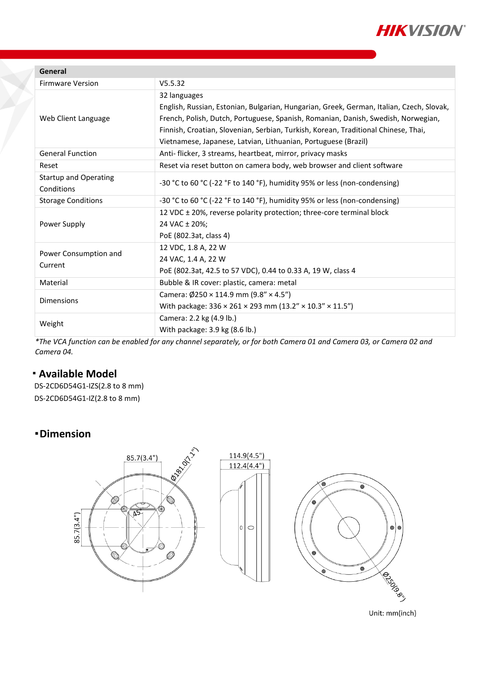

| V5.5.32<br><b>Firmware Version</b>                                                                                      |                                                                                          |  |  |
|-------------------------------------------------------------------------------------------------------------------------|------------------------------------------------------------------------------------------|--|--|
|                                                                                                                         |                                                                                          |  |  |
| 32 languages                                                                                                            |                                                                                          |  |  |
|                                                                                                                         | English, Russian, Estonian, Bulgarian, Hungarian, Greek, German, Italian, Czech, Slovak, |  |  |
| Web Client Language                                                                                                     | French, Polish, Dutch, Portuguese, Spanish, Romanian, Danish, Swedish, Norwegian,        |  |  |
|                                                                                                                         | Finnish, Croatian, Slovenian, Serbian, Turkish, Korean, Traditional Chinese, Thai,       |  |  |
|                                                                                                                         | Vietnamese, Japanese, Latvian, Lithuanian, Portuguese (Brazil)                           |  |  |
| <b>General Function</b><br>Anti- flicker, 3 streams, heartbeat, mirror, privacy masks                                   |                                                                                          |  |  |
| Reset via reset button on camera body, web browser and client software<br>Reset                                         |                                                                                          |  |  |
| <b>Startup and Operating</b><br>-30 °C to 60 °C (-22 °F to 140 °F), humidity 95% or less (non-condensing)<br>Conditions |                                                                                          |  |  |
| -30 °C to 60 °C (-22 °F to 140 °F), humidity 95% or less (non-condensing)<br><b>Storage Conditions</b>                  |                                                                                          |  |  |
| 12 VDC ± 20%, reverse polarity protection; three-core terminal block                                                    |                                                                                          |  |  |
| 24 VAC ± 20%;<br>Power Supply                                                                                           |                                                                                          |  |  |
| PoE (802.3at, class 4)                                                                                                  |                                                                                          |  |  |
| 12 VDC, 1.8 A, 22 W<br>Power Consumption and                                                                            |                                                                                          |  |  |
| 24 VAC, 1.4 A, 22 W<br>Current                                                                                          |                                                                                          |  |  |
|                                                                                                                         | PoE (802.3at, 42.5 to 57 VDC), 0.44 to 0.33 A, 19 W, class 4                             |  |  |
| Bubble & IR cover: plastic, camera: metal<br>Material                                                                   |                                                                                          |  |  |
| Camera: $\emptyset$ 250 × 114.9 mm (9.8" × 4.5")<br><b>Dimensions</b>                                                   |                                                                                          |  |  |
|                                                                                                                         | With package: 336 × 261 × 293 mm (13.2" × 10.3" × 11.5")                                 |  |  |
| Camera: 2.2 kg (4.9 lb.)<br>Weight                                                                                      |                                                                                          |  |  |
| With package: 3.9 kg (8.6 lb.)                                                                                          |                                                                                          |  |  |

*\*The VCA function can be enabled for any channel separately, or for both Camera 01 and Camera 03, or Camera 02 and Camera 04.*

## <sup>◼</sup> **Available Model**

DS-2CD6D54G1-IZS(2.8 to 8 mm) DS-2CD6D54G1-IZ(2.8 to 8 mm)

## <sup>◼</sup> **Dimension**



Unit: mm(inch)